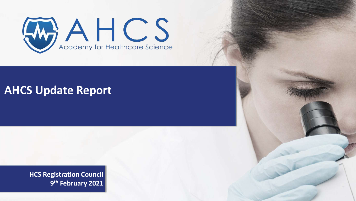

## **AHCS Update Report**

**HCS Registration Council 9 th February 2021**

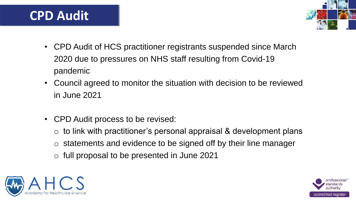## **CPD Audit**

- CPD Audit of HCS practitioner registrants suspended since March 2020 due to pressures on NHS staff resulting from Covid-19 pandemic
- Council agreed to monitor the situation with decision to be reviewed in June 2021
- CPD Audit process to be revised:
	- $\circ$  to link with practitioner's personal appraisal & development plans
	- o statements and evidence to be signed off by their line manager
	- o full proposal to be presented in June 2021





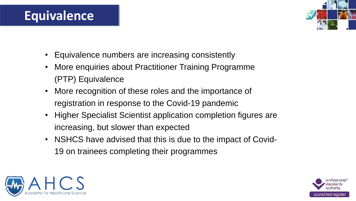## **Equivalence**

- Equivalence numbers are increasing consistently
- More enquiries about Practitioner Training Programme (PTP) Equivalence
- More recognition of these roles and the importance of registration in response to the Covid-19 pandemic
- Higher Specialist Scientist application completion figures are increasing, but slower than expected
- NSHCS have advised that this is due to the impact of Covid-19 on trainees completing their programmes





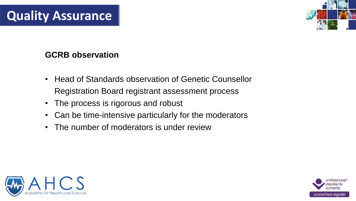# **Quality Assurance**

## **GCRB observation**

- Head of Standards observation of Genetic Counsellor Registration Board registrant assessment process
- The process is rigorous and robust
- Can be time-intensive particularly for the moderators
- The number of moderators is under review





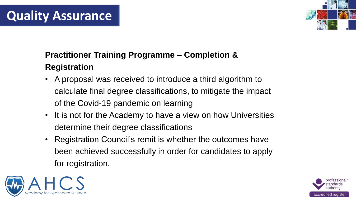# **Quality Assurance**

## **Practitioner Training Programme – Completion & Registration**

- A proposal was received to introduce a third algorithm to calculate final degree classifications, to mitigate the impact of the Covid-19 pandemic on learning
- It is not for the Academy to have a view on how Universities determine their degree classifications
- Registration Council's remit is whether the outcomes have been achieved successfully in order for candidates to apply for registration.





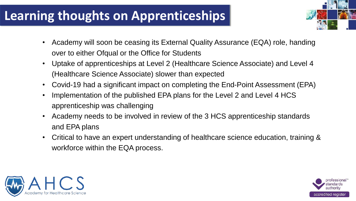# **Learning thoughts on Apprenticeships**

- Academy will soon be ceasing its External Quality Assurance (EQA) role, handing over to either Ofqual or the Office for Students
- Uptake of apprenticeships at Level 2 (Healthcare Science Associate) and Level 4 (Healthcare Science Associate) slower than expected
- Covid-19 had a significant impact on completing the End-Point Assessment (EPA)
- Implementation of the published EPA plans for the Level 2 and Level 4 HCS apprenticeship was challenging
- Academy needs to be involved in review of the 3 HCS apprenticeship standards and EPA plans
- Critical to have an expert understanding of healthcare science education, training & workforce within the EQA process.